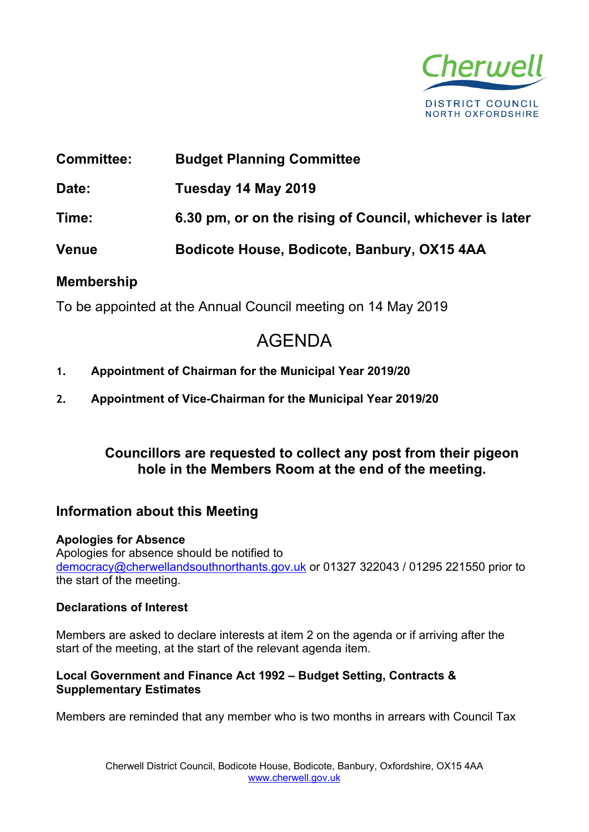

# **Committee: Budget Planning Committee**

**Date: Tuesday 14 May 2019**

**Time: 6.30 pm, or on the rising of Council, whichever is later**

**Venue Bodicote House, Bodicote, Banbury, OX15 4AA**

# **Membership**

To be appointed at the Annual Council meeting on 14 May 2019

# AGENDA

- **1. Appointment of Chairman for the Municipal Year 2019/20**
- **2. Appointment of Vice-Chairman for the Municipal Year 2019/20**

# **Councillors are requested to collect any post from their pigeon hole in the Members Room at the end of the meeting.**

# **Information about this Meeting**

#### **Apologies for Absence** Apologies for absence should be notified to [democracy@cherwellandsouthnorthants.gov.uk](mailto:democracy@cherwell-dc.gov.uk) or 01327 322043 / 01295 221550 prior to the start of the meeting.

## **Declarations of Interest**

Members are asked to declare interests at item 2 on the agenda or if arriving after the start of the meeting, at the start of the relevant agenda item.

## **Local Government and Finance Act 1992 – Budget Setting, Contracts & Supplementary Estimates**

Members are reminded that any member who is two months in arrears with Council Tax